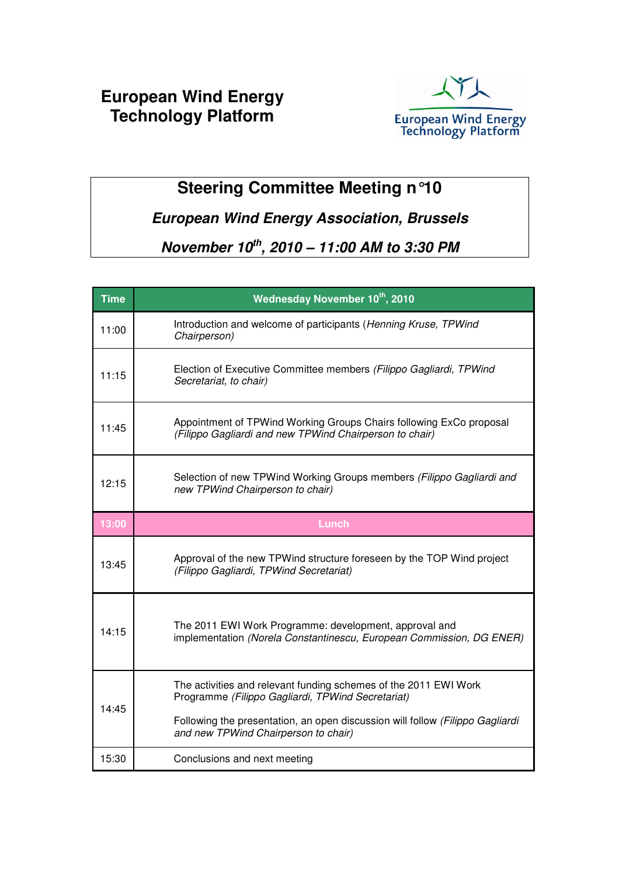### **European Wind Energy Technology Platform**



# **Steering Committee Meeting n°10**

#### **European Wind Energy Association, Brussels**

## **November 10th, 2010 – 11:00 AM to 3:30 PM**

| <b>Time</b> | Wednesday November 10th, 2010                                                                                                  |
|-------------|--------------------------------------------------------------------------------------------------------------------------------|
| 11:00       | Introduction and welcome of participants (Henning Kruse, TPWind<br>Chairperson)                                                |
| 11:15       | Election of Executive Committee members (Filippo Gagliardi, TPWind<br>Secretariat, to chair)                                   |
| 11:45       | Appointment of TPWind Working Groups Chairs following ExCo proposal<br>(Filippo Gagliardi and new TPWind Chairperson to chair) |
| 12:15       | Selection of new TPWind Working Groups members (Filippo Gagliardi and<br>new TPWind Chairperson to chair)                      |
| 13:00       | <b>Lunch</b>                                                                                                                   |
| 13:45       | Approval of the new TPWind structure foreseen by the TOP Wind project<br>(Filippo Gagliardi, TPWind Secretariat)               |
| 14:15       | The 2011 EWI Work Programme: development, approval and<br>implementation (Norela Constantinescu, European Commission, DG ENER) |
| 14:45       | The activities and relevant funding schemes of the 2011 EWI Work<br>Programme (Filippo Gagliardi, TPWind Secretariat)          |
|             | Following the presentation, an open discussion will follow (Filippo Gagliardi<br>and new TPWind Chairperson to chair)          |
| 15:30       | Conclusions and next meeting                                                                                                   |